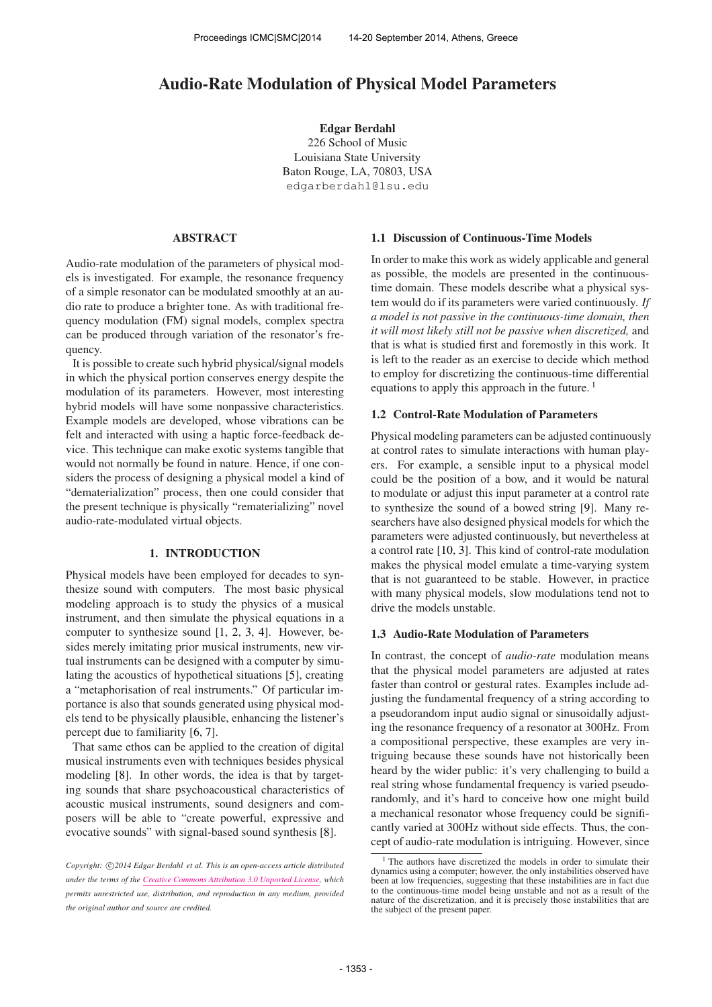# Audio-Rate Modulation of Physical Model Parameters

Edgar Berdahl 226 School of Music Louisiana State University Baton Rouge, LA, 70803, USA [edgarberdahl@lsu.edu](mailto:edgarberdahl@lsu.edu)

### ABSTRACT

Audio-rate modulation of the parameters of physical models is investigated. For example, the resonance frequency of a simple resonator can be modulated smoothly at an audio rate to produce a brighter tone. As with traditional frequency modulation (FM) signal models, complex spectra can be produced through variation of the resonator's frequency.

It is possible to create such hybrid physical/signal models in which the physical portion conserves energy despite the modulation of its parameters. However, most interesting hybrid models will have some nonpassive characteristics. Example models are developed, whose vibrations can be felt and interacted with using a haptic force-feedback device. This technique can make exotic systems tangible that would not normally be found in nature. Hence, if one considers the process of designing a physical model a kind of "dematerialization" process, then one could consider that the present technique is physically "rematerializing" novel audio-rate-modulated virtual objects.

#### 1. INTRODUCTION

Physical models have been employed for decades to synthesize sound with computers. The most basic physical modeling approach is to study the physics of a musical instrument, and then simulate the physical equations in a computer to synthesize sound [1, 2, 3, 4]. However, besides merely imitating prior musical instruments, new virtual instruments can be designed with a computer by simulating the acoustics of hypothetical situations [5], creating a "metaphorisation of real instruments." Of particular importance is also that sounds generated using physical models tend to be physically plausible, enhancing the listener's percept due to familiarity [6, 7].

That same ethos can be applied to the creation of digital musical instruments even with techniques besides physical modeling [8]. In other words, the idea is that by targeting sounds that share psychoacoustical characteristics of acoustic musical instruments, sound designers and composers will be able to "create powerful, expressive and evocative sounds" with signal-based sound synthesis [8].

#### 1.1 Discussion of Continuous-Time Models

In order to make this work as widely applicable and general as possible, the models are presented in the continuoustime domain. These models describe what a physical system would do if its parameters were varied continuously. *If a model is not passive in the continuous-time domain, then it will most likely still not be passive when discretized,* and that is what is studied first and foremostly in this work. It is left to the reader as an exercise to decide which method to employ for discretizing the continuous-time differential equations to apply this approach in the future.  $<sup>1</sup>$ </sup>

### 1.2 Control-Rate Modulation of Parameters

Physical modeling parameters can be adjusted continuously at control rates to simulate interactions with human players. For example, a sensible input to a physical model could be the position of a bow, and it would be natural to modulate or adjust this input parameter at a control rate to synthesize the sound of a bowed string [9]. Many researchers have also designed physical models for which the parameters were adjusted continuously, but nevertheless at a control rate [10, 3]. This kind of control-rate modulation makes the physical model emulate a time-varying system that is not guaranteed to be stable. However, in practice with many physical models, slow modulations tend not to drive the models unstable.

### 1.3 Audio-Rate Modulation of Parameters

In contrast, the concept of *audio-rate* modulation means that the physical model parameters are adjusted at rates faster than control or gestural rates. Examples include adjusting the fundamental frequency of a string according to a pseudorandom input audio signal or sinusoidally adjusting the resonance frequency of a resonator at 300Hz. From a compositional perspective, these examples are very intriguing because these sounds have not historically been heard by the wider public: it's very challenging to build a real string whose fundamental frequency is varied pseudorandomly, and it's hard to conceive how one might build a mechanical resonator whose frequency could be significantly varied at 300Hz without side effects. Thus, the concept of audio-rate modulation is intriguing. However, since

Copyright:  $\bigcirc$ 2014 Edgar Berdahl et al. This is an open-access article distributed *under the terms of the [Creative Commons Attribution 3.0 Unported License,](http://creativecommons.org/licenses/by/3.0/) which permits unrestricted use, distribution, and reproduction in any medium, provided the original author and source are credited.*

<sup>&</sup>lt;sup>1</sup> The authors have discretized the models in order to simulate their dynamics using a computer; however, the only instabilities observed have been at low frequencies, suggesting that these instabilities are in fact due to the continuous-time model being unstable and not as a result of the nature of the discretization, and it is precisely those instabilities that are the subject of the present paper.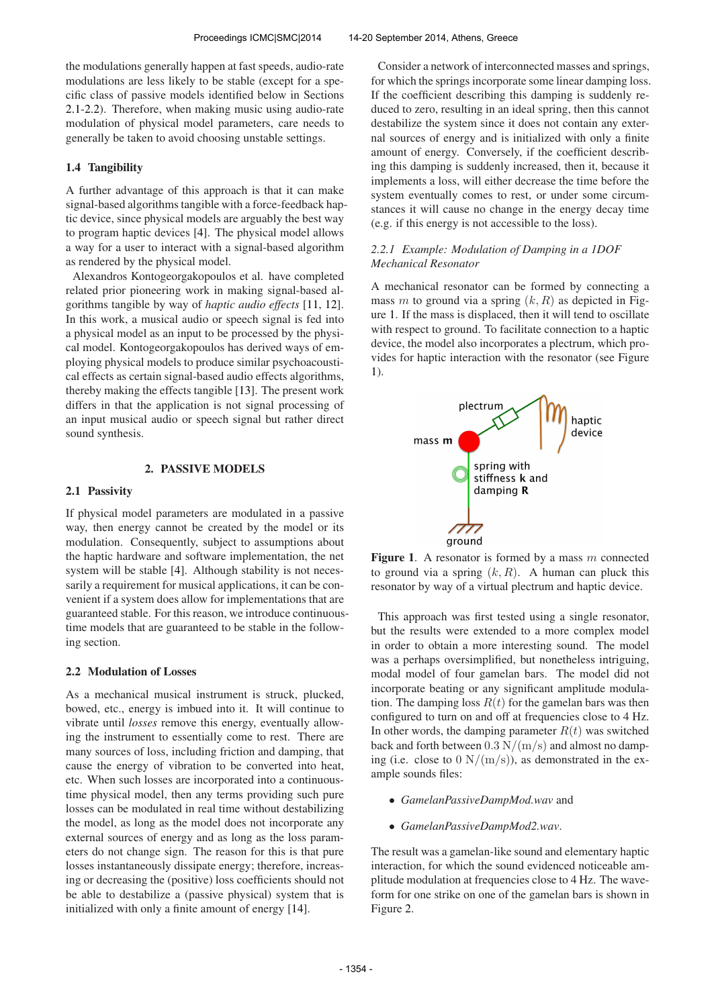the modulations generally happen at fast speeds, audio-rate modulations are less likely to be stable (except for a specific class of passive models identified below in Sections 2.1-2.2). Therefore, when making music using audio-rate modulation of physical model parameters, care needs to generally be taken to avoid choosing unstable settings.

# 1.4 Tangibility

A further advantage of this approach is that it can make signal-based algorithms tangible with a force-feedback haptic device, since physical models are arguably the best way to program haptic devices [4]. The physical model allows a way for a user to interact with a signal-based algorithm as rendered by the physical model.

Alexandros Kontogeorgakopoulos et al. have completed related prior pioneering work in making signal-based algorithms tangible by way of *haptic audio effects* [11, 12]. In this work, a musical audio or speech signal is fed into a physical model as an input to be processed by the physical model. Kontogeorgakopoulos has derived ways of employing physical models to produce similar psychoacoustical effects as certain signal-based audio effects algorithms, thereby making the effects tangible [13]. The present work differs in that the application is not signal processing of an input musical audio or speech signal but rather direct sound synthesis.

# 2. PASSIVE MODELS

### 2.1 Passivity

If physical model parameters are modulated in a passive way, then energy cannot be created by the model or its modulation. Consequently, subject to assumptions about the haptic hardware and software implementation, the net system will be stable [4]. Although stability is not necessarily a requirement for musical applications, it can be convenient if a system does allow for implementations that are guaranteed stable. For this reason, we introduce continuoustime models that are guaranteed to be stable in the following section.

# 2.2 Modulation of Losses

As a mechanical musical instrument is struck, plucked, bowed, etc., energy is imbued into it. It will continue to vibrate until *losses* remove this energy, eventually allowing the instrument to essentially come to rest. There are many sources of loss, including friction and damping, that cause the energy of vibration to be converted into heat, etc. When such losses are incorporated into a continuoustime physical model, then any terms providing such pure losses can be modulated in real time without destabilizing the model, as long as the model does not incorporate any external sources of energy and as long as the loss parameters do not change sign. The reason for this is that pure losses instantaneously dissipate energy; therefore, increasing or decreasing the (positive) loss coefficients should not be able to destabilize a (passive physical) system that is initialized with only a finite amount of energy [14].

Consider a network of interconnected masses and springs, for which the springs incorporate some linear damping loss. If the coefficient describing this damping is suddenly reduced to zero, resulting in an ideal spring, then this cannot destabilize the system since it does not contain any external sources of energy and is initialized with only a finite amount of energy. Conversely, if the coefficient describing this damping is suddenly increased, then it, because it implements a loss, will either decrease the time before the system eventually comes to rest, or under some circumstances it will cause no change in the energy decay time (e.g. if this energy is not accessible to the loss).

# *2.2.1 Example: Modulation of Damping in a 1DOF Mechanical Resonator*

A mechanical resonator can be formed by connecting a mass m to ground via a spring  $(k, R)$  as depicted in Figure 1. If the mass is displaced, then it will tend to oscillate with respect to ground. To facilitate connection to a haptic device, the model also incorporates a plectrum, which provides for haptic interaction with the resonator (see Figure 1).



**Figure 1.** A resonator is formed by a mass  $m$  connected to ground via a spring  $(k, R)$ . A human can pluck this resonator by way of a virtual plectrum and haptic device.

This approach was first tested using a single resonator, but the results were extended to a more complex model in order to obtain a more interesting sound. The model was a perhaps oversimplified, but nonetheless intriguing, modal model of four gamelan bars. The model did not incorporate beating or any significant amplitude modulation. The damping loss  $R(t)$  for the gamelan bars was then configured to turn on and off at frequencies close to 4 Hz. In other words, the damping parameter  $R(t)$  was switched back and forth between  $0.3 \text{ N/(m/s)}$  and almost no damping (i.e. close to  $0 \text{ N/(m/s)}$ ), as demonstrated in the example sounds files:

- *GamelanPassiveDampMod.wav* and
- *GamelanPassiveDampMod2.wav*.

The result was a gamelan-like sound and elementary haptic interaction, for which the sound evidenced noticeable amplitude modulation at frequencies close to 4 Hz. The waveform for one strike on one of the gamelan bars is shown in Figure 2.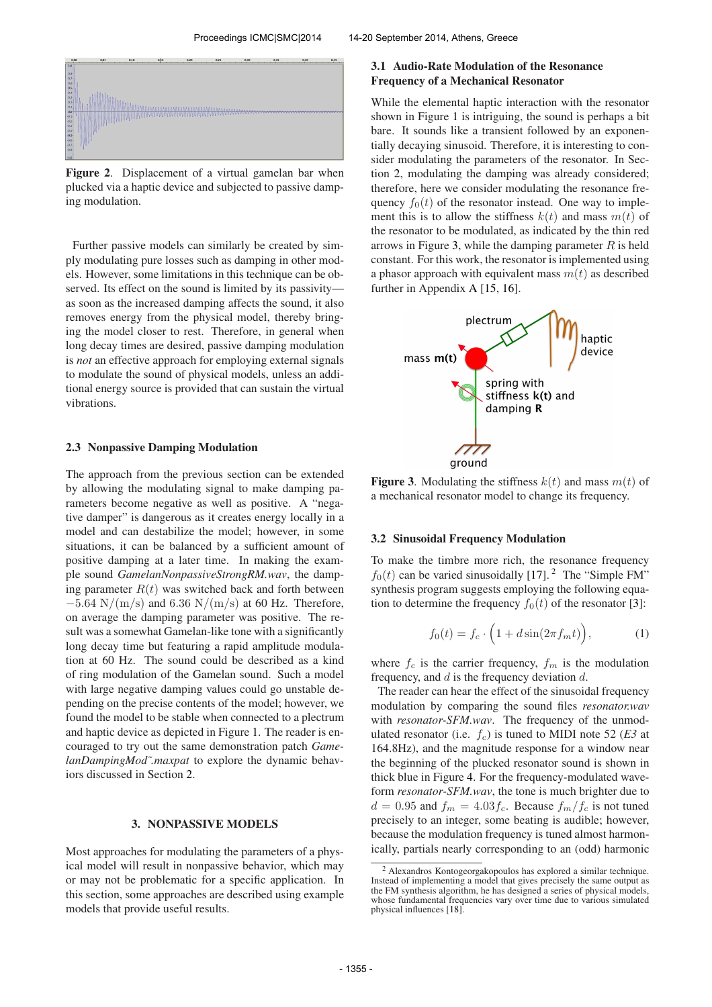

Figure 2. Displacement of a virtual gamelan bar when plucked via a haptic device and subjected to passive damping modulation.

Further passive models can similarly be created by simply modulating pure losses such as damping in other models. However, some limitations in this technique can be observed. Its effect on the sound is limited by its passivity as soon as the increased damping affects the sound, it also removes energy from the physical model, thereby bringing the model closer to rest. Therefore, in general when long decay times are desired, passive damping modulation is *not* an effective approach for employing external signals to modulate the sound of physical models, unless an additional energy source is provided that can sustain the virtual vibrations.

#### 2.3 Nonpassive Damping Modulation

The approach from the previous section can be extended by allowing the modulating signal to make damping parameters become negative as well as positive. A "negative damper" is dangerous as it creates energy locally in a model and can destabilize the model; however, in some situations, it can be balanced by a sufficient amount of positive damping at a later time. In making the example sound *GamelanNonpassiveStrongRM.wav*, the damping parameter  $R(t)$  was switched back and forth between  $-5.64$  N/(m/s) and 6.36 N/(m/s) at 60 Hz. Therefore, on average the damping parameter was positive. The result was a somewhat Gamelan-like tone with a significantly long decay time but featuring a rapid amplitude modulation at 60 Hz. The sound could be described as a kind of ring modulation of the Gamelan sound. Such a model with large negative damping values could go unstable depending on the precise contents of the model; however, we found the model to be stable when connected to a plectrum and haptic device as depicted in Figure 1. The reader is encouraged to try out the same demonstration patch *GamelanDampingMod˜.maxpat* to explore the dynamic behaviors discussed in Section 2.

#### 3. NONPASSIVE MODELS

Most approaches for modulating the parameters of a physical model will result in nonpassive behavior, which may or may not be problematic for a specific application. In this section, some approaches are described using example models that provide useful results.

### 3.1 Audio-Rate Modulation of the Resonance Frequency of a Mechanical Resonator

While the elemental haptic interaction with the resonator shown in Figure 1 is intriguing, the sound is perhaps a bit bare. It sounds like a transient followed by an exponentially decaying sinusoid. Therefore, it is interesting to consider modulating the parameters of the resonator. In Section 2, modulating the damping was already considered; therefore, here we consider modulating the resonance frequency  $f_0(t)$  of the resonator instead. One way to implement this is to allow the stiffness  $k(t)$  and mass  $m(t)$  of the resonator to be modulated, as indicated by the thin red arrows in Figure 3, while the damping parameter  $R$  is held constant. For this work, the resonator is implemented using a phasor approach with equivalent mass  $m(t)$  as described further in Appendix A [15, 16].



Figure 3. Modulating the stiffness  $k(t)$  and mass  $m(t)$  of a mechanical resonator model to change its frequency.

#### 3.2 Sinusoidal Frequency Modulation

To make the timbre more rich, the resonance frequency  $f_0(t)$  can be varied sinusoidally [17].<sup>2</sup> The "Simple FM" synthesis program suggests employing the following equation to determine the frequency  $f_0(t)$  of the resonator [3]:

$$
f_0(t) = f_c \cdot \left(1 + d\sin(2\pi f_m t)\right),\tag{1}
$$

where  $f_c$  is the carrier frequency,  $f_m$  is the modulation frequency, and  $d$  is the frequency deviation  $d$ .

The reader can hear the effect of the sinusoidal frequency modulation by comparing the sound files *resonator.wav* with *resonator-SFM.wav*. The frequency of the unmodulated resonator (i.e.  $f_c$ ) is tuned to MIDI note 52 (*E3* at 164.8Hz), and the magnitude response for a window near the beginning of the plucked resonator sound is shown in thick blue in Figure 4. For the frequency-modulated waveform *resonator-SFM.wav*, the tone is much brighter due to  $d = 0.95$  and  $f_m = 4.03 f_c$ . Because  $f_m/f_c$  is not tuned precisely to an integer, some beating is audible; however, because the modulation frequency is tuned almost harmonically, partials nearly corresponding to an (odd) harmonic

<sup>2</sup> Alexandros Kontogeorgakopoulos has explored a similar technique. Instead of implementing a model that gives precisely the same output as the FM synthesis algorithm, he has designed a series of physical models, whose fundamental frequencies vary over time due to various simulated physical influences [18].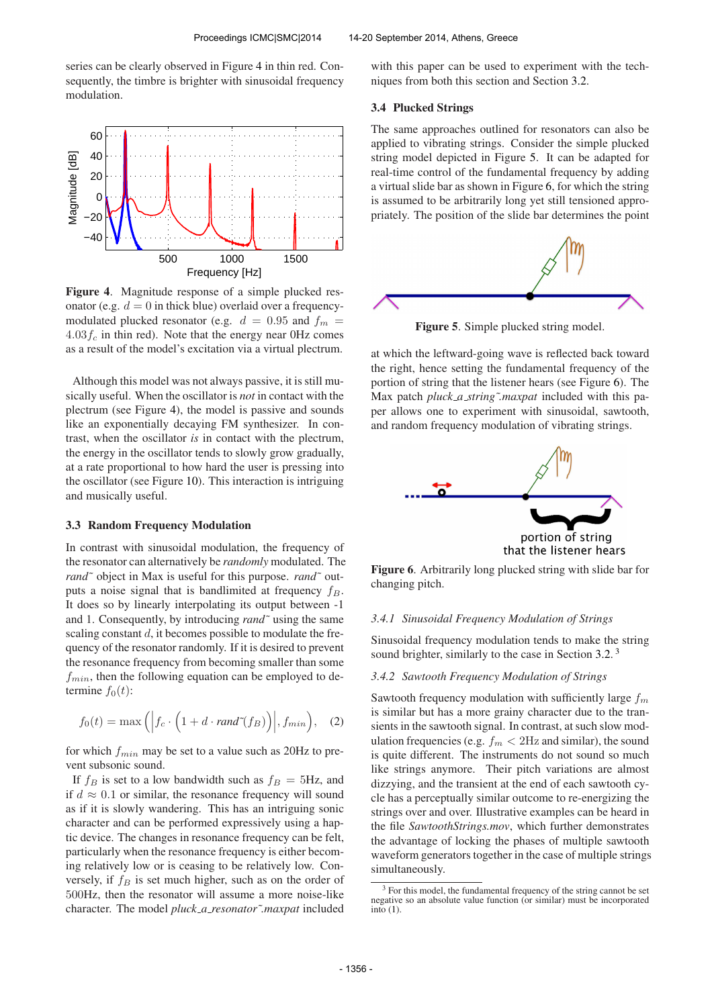series can be clearly observed in Figure 4 in thin red. Consequently, the timbre is brighter with sinusoidal frequency modulation.



Figure 4. Magnitude response of a simple plucked resonator (e.g.  $d = 0$  in thick blue) overlaid over a frequencymodulated plucked resonator (e.g.  $d = 0.95$  and  $f_m =$  $4.03f_c$  in thin red). Note that the energy near OHz comes as a result of the model's excitation via a virtual plectrum.

Although this model was not always passive, it is still musically useful. When the oscillator is *not* in contact with the plectrum (see Figure 4), the model is passive and sounds like an exponentially decaying FM synthesizer. In contrast, when the oscillator *is* in contact with the plectrum, the energy in the oscillator tends to slowly grow gradually, at a rate proportional to how hard the user is pressing into the oscillator (see Figure 10). This interaction is intriguing and musically useful.

#### 3.3 Random Frequency Modulation

In contrast with sinusoidal modulation, the frequency of the resonator can alternatively be *randomly* modulated. The *rand˜* object in Max is useful for this purpose. *rand˜* outputs a noise signal that is bandlimited at frequency  $f_B$ . It does so by linearly interpolating its output between -1 and 1. Consequently, by introducing *rand˜* using the same scaling constant  $d$ , it becomes possible to modulate the frequency of the resonator randomly. If it is desired to prevent the resonance frequency from becoming smaller than some  $f_{min}$ , then the following equation can be employed to determine  $f_0(t)$ :

$$
f_0(t) = \max\left( \left| f_c \cdot \left( 1 + d \cdot rand^*(f_B) \right) \right|, f_{min} \right), \quad (2)
$$

for which  $f_{min}$  may be set to a value such as 20Hz to prevent subsonic sound.

If  $f_B$  is set to a low bandwidth such as  $f_B = 5Hz$ , and if  $d \approx 0.1$  or similar, the resonance frequency will sound as if it is slowly wandering. This has an intriguing sonic character and can be performed expressively using a haptic device. The changes in resonance frequency can be felt, particularly when the resonance frequency is either becoming relatively low or is ceasing to be relatively low. Conversely, if  $f_B$  is set much higher, such as on the order of 500Hz, then the resonator will assume a more noise-like character. The model *pluck a resonator˜.maxpat* included

with this paper can be used to experiment with the techniques from both this section and Section 3.2.

#### 3.4 Plucked Strings

The same approaches outlined for resonators can also be applied to vibrating strings. Consider the simple plucked string model depicted in Figure 5. It can be adapted for real-time control of the fundamental frequency by adding a virtual slide bar as shown in Figure 6, for which the string is assumed to be arbitrarily long yet still tensioned appropriately. The position of the slide bar determines the point



Figure 5. Simple plucked string model.

at which the leftward-going wave is reflected back toward the right, hence setting the fundamental frequency of the portion of string that the listener hears (see Figure 6). The Max patch *pluck\_a\_string~.maxpat* included with this paper allows one to experiment with sinusoidal, sawtooth, and random frequency modulation of vibrating strings.



Figure 6. Arbitrarily long plucked string with slide bar for changing pitch.

#### *3.4.1 Sinusoidal Frequency Modulation of Strings*

Sinusoidal frequency modulation tends to make the string sound brighter, similarly to the case in Section 3.2.<sup>3</sup>

#### *3.4.2 Sawtooth Frequency Modulation of Strings*

Sawtooth frequency modulation with sufficiently large  $f_m$ is similar but has a more grainy character due to the transients in the sawtooth signal. In contrast, at such slow modulation frequencies (e.g.  $f_m < 2Hz$  and similar), the sound is quite different. The instruments do not sound so much like strings anymore. Their pitch variations are almost dizzying, and the transient at the end of each sawtooth cycle has a perceptually similar outcome to re-energizing the strings over and over. Illustrative examples can be heard in the file *SawtoothStrings.mov*, which further demonstrates the advantage of locking the phases of multiple sawtooth waveform generators together in the case of multiple strings simultaneously.

<sup>&</sup>lt;sup>3</sup> For this model, the fundamental frequency of the string cannot be set negative so an absolute value function (or similar) must be incorporated  $\overline{\text{into}}$  (1).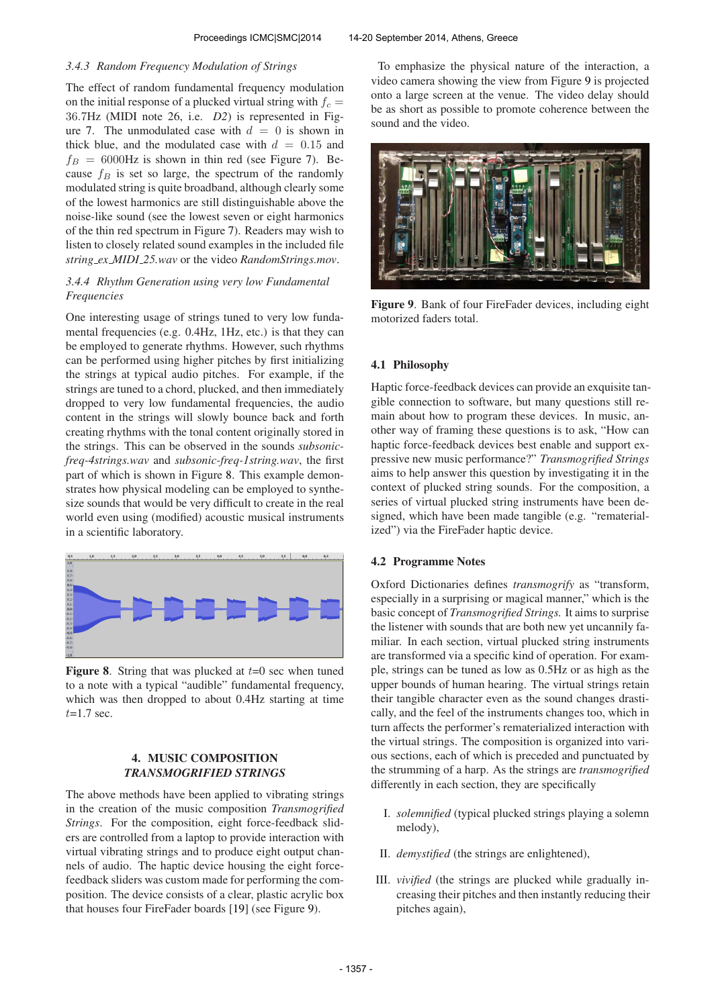#### *3.4.3 Random Frequency Modulation of Strings*

The effect of random fundamental frequency modulation on the initial response of a plucked virtual string with  $f_c$  = 36.7Hz (MIDI note 26, i.e. *D2*) is represented in Figure 7. The unmodulated case with  $d = 0$  is shown in thick blue, and the modulated case with  $d = 0.15$  and  $f_B = 6000$ Hz is shown in thin red (see Figure 7). Because  $f_B$  is set so large, the spectrum of the randomly modulated string is quite broadband, although clearly some of the lowest harmonics are still distinguishable above the noise-like sound (see the lowest seven or eight harmonics of the thin red spectrum in Figure 7). Readers may wish to listen to closely related sound examples in the included file *string ex MIDI 25.wav* or the video *RandomStrings.mov*.

### *3.4.4 Rhythm Generation using very low Fundamental Frequencies*

One interesting usage of strings tuned to very low fundamental frequencies (e.g. 0.4Hz, 1Hz, etc.) is that they can be employed to generate rhythms. However, such rhythms can be performed using higher pitches by first initializing the strings at typical audio pitches. For example, if the strings are tuned to a chord, plucked, and then immediately dropped to very low fundamental frequencies, the audio content in the strings will slowly bounce back and forth creating rhythms with the tonal content originally stored in the strings. This can be observed in the sounds *subsonicfreq-4strings.wav* and *subsonic-freq-1string.wav*, the first part of which is shown in Figure 8. This example demonstrates how physical modeling can be employed to synthesize sounds that would be very difficult to create in the real world even using (modified) acoustic musical instruments in a scientific laboratory.



**Figure 8.** String that was plucked at  $t=0$  sec when tuned to a note with a typical "audible" fundamental frequency, which was then dropped to about 0.4Hz starting at time  $t=1.7$  sec.

### 4. MUSIC COMPOSITION *TRANSMOGRIFIED STRINGS*

The above methods have been applied to vibrating strings in the creation of the music composition *Transmogrified Strings*. For the composition, eight force-feedback sliders are controlled from a laptop to provide interaction with virtual vibrating strings and to produce eight output channels of audio. The haptic device housing the eight forcefeedback sliders was custom made for performing the composition. The device consists of a clear, plastic acrylic box that houses four FireFader boards [19] (see Figure 9).

To emphasize the physical nature of the interaction, a video camera showing the view from Figure 9 is projected onto a large screen at the venue. The video delay should be as short as possible to promote coherence between the sound and the video.



Figure 9. Bank of four FireFader devices, including eight motorized faders total.

#### 4.1 Philosophy

Haptic force-feedback devices can provide an exquisite tangible connection to software, but many questions still remain about how to program these devices. In music, another way of framing these questions is to ask, "How can haptic force-feedback devices best enable and support expressive new music performance?" *Transmogrified Strings* aims to help answer this question by investigating it in the context of plucked string sounds. For the composition, a series of virtual plucked string instruments have been designed, which have been made tangible (e.g. "rematerialized") via the FireFader haptic device.

### 4.2 Programme Notes

Oxford Dictionaries defines *transmogrify* as "transform, especially in a surprising or magical manner," which is the basic concept of *Transmogrified Strings.* It aims to surprise the listener with sounds that are both new yet uncannily familiar. In each section, virtual plucked string instruments are transformed via a specific kind of operation. For example, strings can be tuned as low as 0.5Hz or as high as the upper bounds of human hearing. The virtual strings retain their tangible character even as the sound changes drastically, and the feel of the instruments changes too, which in turn affects the performer's rematerialized interaction with the virtual strings. The composition is organized into various sections, each of which is preceded and punctuated by the strumming of a harp. As the strings are *transmogrified* differently in each section, they are specifically

- I. *solemnified* (typical plucked strings playing a solemn melody),
- II. *demystified* (the strings are enlightened),
- III. *vivified* (the strings are plucked while gradually increasing their pitches and then instantly reducing their pitches again),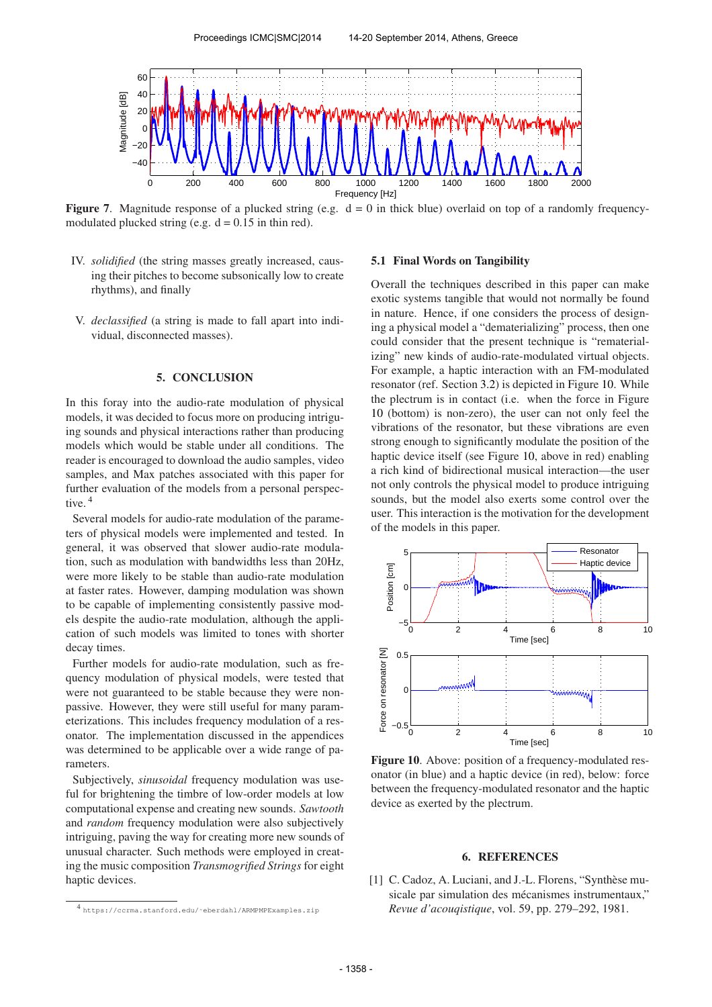

**Figure 7.** Magnitude response of a plucked string (e.g.  $d = 0$  in thick blue) overlaid on top of a randomly frequencymodulated plucked string (e.g.  $d = 0.15$  in thin red).

- IV. *solidified* (the string masses greatly increased, causing their pitches to become subsonically low to create rhythms), and finally
- V. *declassified* (a string is made to fall apart into individual, disconnected masses).

# 5. CONCLUSION

In this foray into the audio-rate modulation of physical models, it was decided to focus more on producing intriguing sounds and physical interactions rather than producing models which would be stable under all conditions. The reader is encouraged to download the audio samples, video samples, and Max patches associated with this paper for further evaluation of the models from a personal perspective.<sup>4</sup>

Several models for audio-rate modulation of the parameters of physical models were implemented and tested. In general, it was observed that slower audio-rate modulation, such as modulation with bandwidths less than 20Hz, were more likely to be stable than audio-rate modulation at faster rates. However, damping modulation was shown to be capable of implementing consistently passive models despite the audio-rate modulation, although the application of such models was limited to tones with shorter decay times.

Further models for audio-rate modulation, such as frequency modulation of physical models, were tested that were not guaranteed to be stable because they were nonpassive. However, they were still useful for many parameterizations. This includes frequency modulation of a resonator. The implementation discussed in the appendices was determined to be applicable over a wide range of parameters.

Subjectively, *sinusoidal* frequency modulation was useful for brightening the timbre of low-order models at low computational expense and creating new sounds. *Sawtooth* and *random* frequency modulation were also subjectively intriguing, paving the way for creating more new sounds of unusual character. Such methods were employed in creating the music composition *Transmogrified Strings* for eight haptic devices.

#### 5.1 Final Words on Tangibility

Overall the techniques described in this paper can make exotic systems tangible that would not normally be found in nature. Hence, if one considers the process of designing a physical model a "dematerializing" process, then one could consider that the present technique is "rematerializing" new kinds of audio-rate-modulated virtual objects. For example, a haptic interaction with an FM-modulated resonator (ref. Section 3.2) is depicted in Figure 10. While the plectrum is in contact (i.e. when the force in Figure 10 (bottom) is non-zero), the user can not only feel the vibrations of the resonator, but these vibrations are even strong enough to significantly modulate the position of the haptic device itself (see Figure 10, above in red) enabling a rich kind of bidirectional musical interaction—the user not only controls the physical model to produce intriguing sounds, but the model also exerts some control over the user. This interaction is the motivation for the development of the models in this paper.



Figure 10. Above: position of a frequency-modulated resonator (in blue) and a haptic device (in red), below: force between the frequency-modulated resonator and the haptic device as exerted by the plectrum.

## 6. REFERENCES

[1] C. Cadoz, A. Luciani, and J.-L. Florens, "Synthèse musicale par simulation des mécanismes instrumentaux," *Revue d'acouqistique*, vol. 59, pp. 279–292, 1981.

<sup>4</sup> [https://ccrma.stanford.edu/˜eberdahl/ARMPMPExamples.zip](https://ccrma.stanford.edu/~eberdahl/ARMPMPExamples.zip)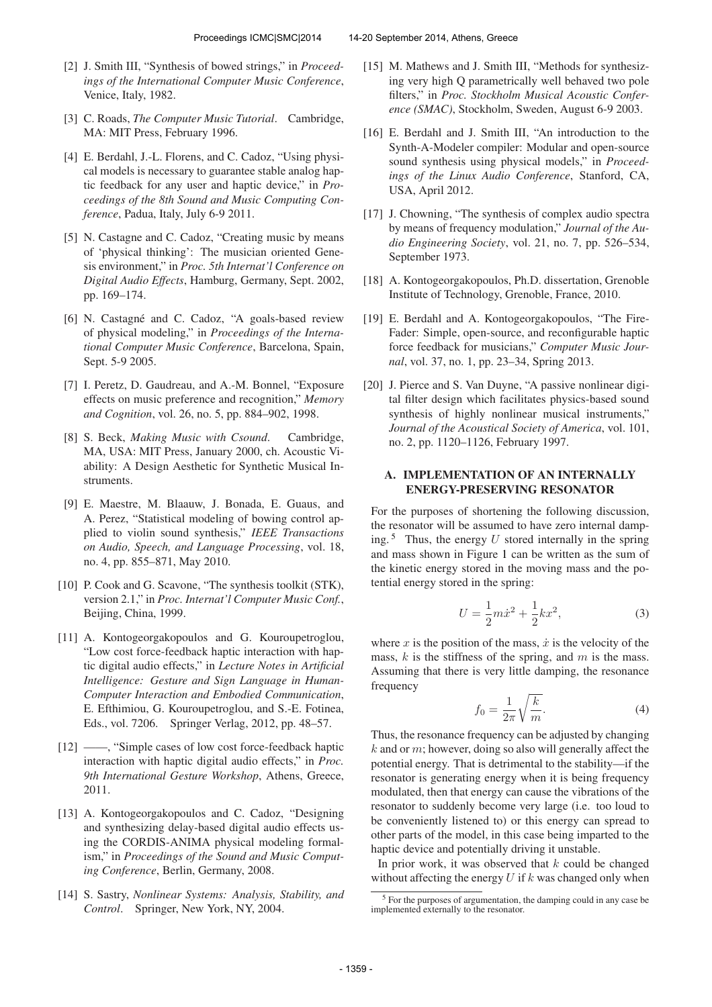- [2] J. Smith III, "Synthesis of bowed strings," in *Proceedings of the International Computer Music Conference*, Venice, Italy, 1982.
- [3] C. Roads, *The Computer Music Tutorial*. Cambridge, MA: MIT Press, February 1996.
- [4] E. Berdahl, J.-L. Florens, and C. Cadoz, "Using physical models is necessary to guarantee stable analog haptic feedback for any user and haptic device," in *Proceedings of the 8th Sound and Music Computing Conference*, Padua, Italy, July 6-9 2011.
- [5] N. Castagne and C. Cadoz, "Creating music by means of 'physical thinking': The musician oriented Genesis environment," in *Proc. 5th Internat'l Conference on Digital Audio Effects*, Hamburg, Germany, Sept. 2002, pp. 169–174.
- [6] N. Castagné and C. Cadoz, "A goals-based review of physical modeling," in *Proceedings of the International Computer Music Conference*, Barcelona, Spain, Sept. 5-9 2005.
- [7] I. Peretz, D. Gaudreau, and A.-M. Bonnel, "Exposure effects on music preference and recognition," *Memory and Cognition*, vol. 26, no. 5, pp. 884–902, 1998.
- [8] S. Beck, *Making Music with Csound*. Cambridge, MA, USA: MIT Press, January 2000, ch. Acoustic Viability: A Design Aesthetic for Synthetic Musical Instruments.
- [9] E. Maestre, M. Blaauw, J. Bonada, E. Guaus, and A. Perez, "Statistical modeling of bowing control applied to violin sound synthesis," *IEEE Transactions on Audio, Speech, and Language Processing*, vol. 18, no. 4, pp. 855–871, May 2010.
- [10] P. Cook and G. Scavone, "The synthesis toolkit (STK), version 2.1," in *Proc. Internat'l Computer Music Conf.*, Beijing, China, 1999.
- [11] A. Kontogeorgakopoulos and G. Kouroupetroglou, "Low cost force-feedback haptic interaction with haptic digital audio effects," in *Lecture Notes in Artificial Intelligence: Gesture and Sign Language in Human-Computer Interaction and Embodied Communication*, E. Efthimiou, G. Kouroupetroglou, and S.-E. Fotinea, Eds., vol. 7206. Springer Verlag, 2012, pp. 48–57.
- [12] ——, "Simple cases of low cost force-feedback haptic interaction with haptic digital audio effects," in *Proc. 9th International Gesture Workshop*, Athens, Greece, 2011.
- [13] A. Kontogeorgakopoulos and C. Cadoz, "Designing and synthesizing delay-based digital audio effects using the CORDIS-ANIMA physical modeling formalism," in *Proceedings of the Sound and Music Computing Conference*, Berlin, Germany, 2008.
- [14] S. Sastry, *Nonlinear Systems: Analysis, Stability, and Control*. Springer, New York, NY, 2004.
- [15] M. Mathews and J. Smith III, "Methods for synthesizing very high Q parametrically well behaved two pole filters," in *Proc. Stockholm Musical Acoustic Conference (SMAC)*, Stockholm, Sweden, August 6-9 2003.
- [16] E. Berdahl and J. Smith III, "An introduction to the Synth-A-Modeler compiler: Modular and open-source sound synthesis using physical models," in *Proceedings of the Linux Audio Conference*, Stanford, CA, USA, April 2012.
- [17] J. Chowning, "The synthesis of complex audio spectra by means of frequency modulation," *Journal of the Audio Engineering Society*, vol. 21, no. 7, pp. 526–534, September 1973.
- [18] A. Kontogeorgakopoulos, Ph.D. dissertation, Grenoble Institute of Technology, Grenoble, France, 2010.
- [19] E. Berdahl and A. Kontogeorgakopoulos, "The Fire-Fader: Simple, open-source, and reconfigurable haptic force feedback for musicians," *Computer Music Journal*, vol. 37, no. 1, pp. 23–34, Spring 2013.
- [20] J. Pierce and S. Van Duyne, "A passive nonlinear digital filter design which facilitates physics-based sound synthesis of highly nonlinear musical instruments," *Journal of the Acoustical Society of America*, vol. 101, no. 2, pp. 1120–1126, February 1997.

### A. IMPLEMENTATION OF AN INTERNALLY ENERGY-PRESERVING RESONATOR

For the purposes of shortening the following discussion, the resonator will be assumed to have zero internal damping.<sup>5</sup> Thus, the energy U stored internally in the spring and mass shown in Figure 1 can be written as the sum of the kinetic energy stored in the moving mass and the potential energy stored in the spring:

$$
U = \frac{1}{2}m\dot{x}^2 + \frac{1}{2}kx^2,
$$
 (3)

where x is the position of the mass,  $\dot{x}$  is the velocity of the mass,  $k$  is the stiffness of the spring, and  $m$  is the mass. Assuming that there is very little damping, the resonance frequency

$$
f_0 = \frac{1}{2\pi} \sqrt{\frac{k}{m}}.\tag{4}
$$

Thus, the resonance frequency can be adjusted by changing  $k$  and or  $m$ ; however, doing so also will generally affect the potential energy. That is detrimental to the stability—if the resonator is generating energy when it is being frequency modulated, then that energy can cause the vibrations of the resonator to suddenly become very large (i.e. too loud to be conveniently listened to) or this energy can spread to other parts of the model, in this case being imparted to the haptic device and potentially driving it unstable.

In prior work, it was observed that  $k$  could be changed without affecting the energy  $U$  if  $k$  was changed only when

<sup>5</sup> For the purposes of argumentation, the damping could in any case be implemented externally to the resonator.